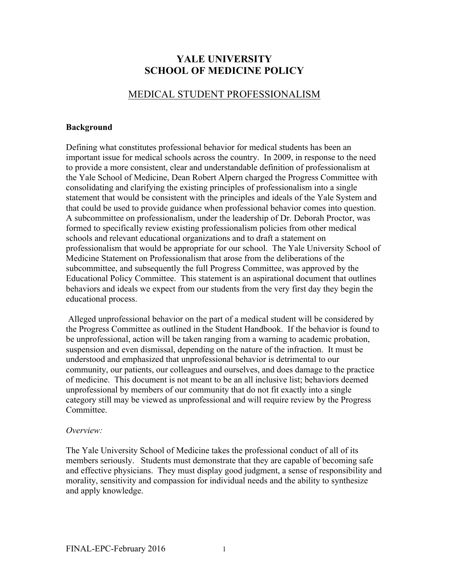# **YALE UNIVERSITY SCHOOL OF MEDICINE POLICY**

## MEDICAL STUDENT PROFESSIONALISM

#### **Background**

Defining what constitutes professional behavior for medical students has been an important issue for medical schools across the country. In 2009, in response to the need to provide a more consistent, clear and understandable definition of professionalism at the Yale School of Medicine, Dean Robert Alpern charged the Progress Committee with consolidating and clarifying the existing principles of professionalism into a single statement that would be consistent with the principles and ideals of the Yale System and that could be used to provide guidance when professional behavior comes into question. A subcommittee on professionalism, under the leadership of Dr. Deborah Proctor, was formed to specifically review existing professionalism policies from other medical schools and relevant educational organizations and to draft a statement on professionalism that would be appropriate for our school. The Yale University School of Medicine Statement on Professionalism that arose from the deliberations of the subcommittee, and subsequently the full Progress Committee, was approved by the Educational Policy Committee. This statement is an aspirational document that outlines behaviors and ideals we expect from our students from the very first day they begin the educational process.

Alleged unprofessional behavior on the part of a medical student will be considered by the Progress Committee as outlined in the Student Handbook. If the behavior is found to be unprofessional, action will be taken ranging from a warning to academic probation, suspension and even dismissal, depending on the nature of the infraction. It must be understood and emphasized that unprofessional behavior is detrimental to our community, our patients, our colleagues and ourselves, and does damage to the practice of medicine. This document is not meant to be an all inclusive list; behaviors deemed unprofessional by members of our community that do not fit exactly into a single category still may be viewed as unprofessional and will require review by the Progress **Committee** 

#### *Overview:*

The Yale University School of Medicine takes the professional conduct of all of its members seriously. Students must demonstrate that they are capable of becoming safe and effective physicians. They must display good judgment, a sense of responsibility and morality, sensitivity and compassion for individual needs and the ability to synthesize and apply knowledge.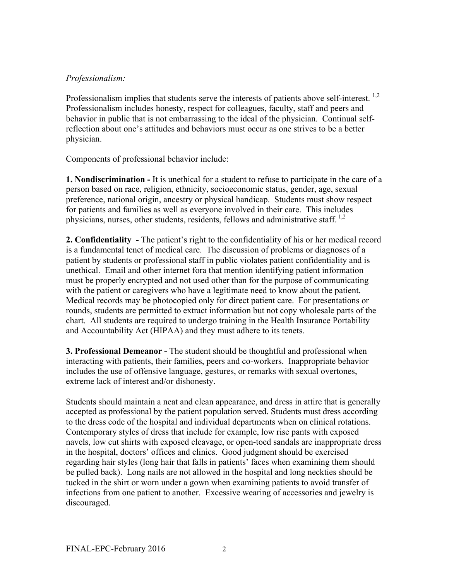### *Professionalism:*

Professionalism implies that students serve the interests of patients above self-interest.<sup>1,2</sup> Professionalism includes honesty, respect for colleagues, faculty, staff and peers and behavior in public that is not embarrassing to the ideal of the physician. Continual selfreflection about one's attitudes and behaviors must occur as one strives to be a better physician.

Components of professional behavior include:

**1. Nondiscrimination -** It is unethical for a student to refuse to participate in the care of a person based on race, religion, ethnicity, socioeconomic status, gender, age, sexual preference, national origin, ancestry or physical handicap. Students must show respect for patients and families as well as everyone involved in their care. This includes physicians, nurses, other students, residents, fellows and administrative staff.  $^{1,2}$ 

**2. Confidentiality -** The patient's right to the confidentiality of his or her medical record is a fundamental tenet of medical care. The discussion of problems or diagnoses of a patient by students or professional staff in public violates patient confidentiality and is unethical. Email and other internet fora that mention identifying patient information must be properly encrypted and not used other than for the purpose of communicating with the patient or caregivers who have a legitimate need to know about the patient. Medical records may be photocopied only for direct patient care. For presentations or rounds, students are permitted to extract information but not copy wholesale parts of the chart. All students are required to undergo training in the Health Insurance Portability and Accountability Act (HIPAA) and they must adhere to its tenets.

**3. Professional Demeanor -** The student should be thoughtful and professional when interacting with patients, their families, peers and co-workers. Inappropriate behavior includes the use of offensive language, gestures, or remarks with sexual overtones, extreme lack of interest and/or dishonesty.

Students should maintain a neat and clean appearance, and dress in attire that is generally accepted as professional by the patient population served. Students must dress according to the dress code of the hospital and individual departments when on clinical rotations. Contemporary styles of dress that include for example, low rise pants with exposed navels, low cut shirts with exposed cleavage, or open-toed sandals are inappropriate dress in the hospital, doctors' offices and clinics. Good judgment should be exercised regarding hair styles (long hair that falls in patients' faces when examining them should be pulled back). Long nails are not allowed in the hospital and long neckties should be tucked in the shirt or worn under a gown when examining patients to avoid transfer of infections from one patient to another. Excessive wearing of accessories and jewelry is discouraged.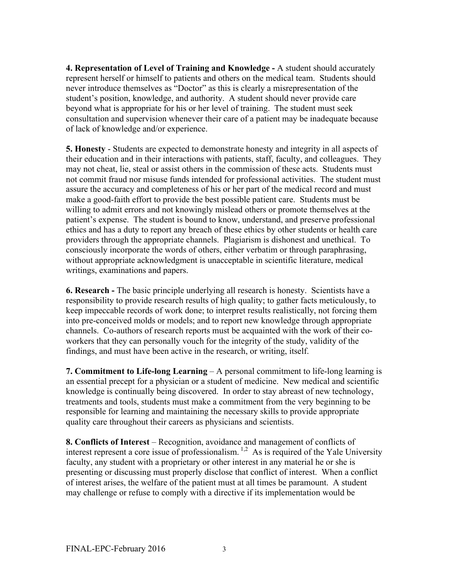**4. Representation of Level of Training and Knowledge -** A student should accurately represent herself or himself to patients and others on the medical team. Students should never introduce themselves as "Doctor" as this is clearly a misrepresentation of the student's position, knowledge, and authority. A student should never provide care beyond what is appropriate for his or her level of training. The student must seek consultation and supervision whenever their care of a patient may be inadequate because of lack of knowledge and/or experience.

**5. Honesty** - Students are expected to demonstrate honesty and integrity in all aspects of their education and in their interactions with patients, staff, faculty, and colleagues. They may not cheat, lie, steal or assist others in the commission of these acts. Students must not commit fraud nor misuse funds intended for professional activities. The student must assure the accuracy and completeness of his or her part of the medical record and must make a good-faith effort to provide the best possible patient care. Students must be willing to admit errors and not knowingly mislead others or promote themselves at the patient's expense. The student is bound to know, understand, and preserve professional ethics and has a duty to report any breach of these ethics by other students or health care providers through the appropriate channels. Plagiarism is dishonest and unethical. To consciously incorporate the words of others, either verbatim or through paraphrasing, without appropriate acknowledgment is unacceptable in scientific literature, medical writings, examinations and papers.

**6. Research -** The basic principle underlying all research is honesty. Scientists have a responsibility to provide research results of high quality; to gather facts meticulously, to keep impeccable records of work done; to interpret results realistically, not forcing them into pre-conceived molds or models; and to report new knowledge through appropriate channels. Co-authors of research reports must be acquainted with the work of their coworkers that they can personally vouch for the integrity of the study, validity of the findings, and must have been active in the research, or writing, itself.

**7. Commitment to Life-long Learning** – A personal commitment to life-long learning is an essential precept for a physician or a student of medicine. New medical and scientific knowledge is continually being discovered. In order to stay abreast of new technology, treatments and tools, students must make a commitment from the very beginning to be responsible for learning and maintaining the necessary skills to provide appropriate quality care throughout their careers as physicians and scientists.

**8. Conflicts of Interest** – Recognition, avoidance and management of conflicts of interest represent a core issue of professionalism.<sup>1,2</sup> As is required of the Yale University faculty, any student with a proprietary or other interest in any material he or she is presenting or discussing must properly disclose that conflict of interest. When a conflict of interest arises, the welfare of the patient must at all times be paramount. A student may challenge or refuse to comply with a directive if its implementation would be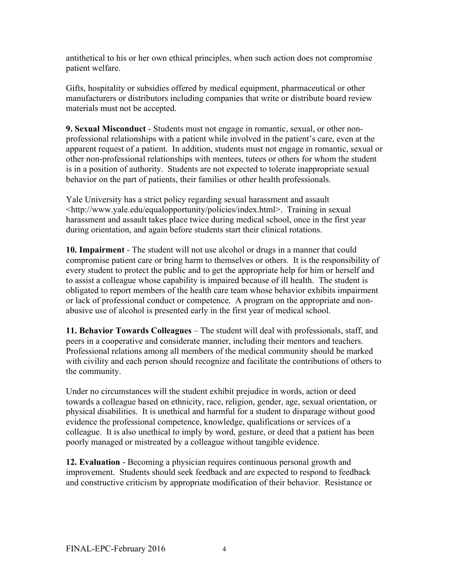antithetical to his or her own ethical principles, when such action does not compromise patient welfare.

Gifts, hospitality or subsidies offered by medical equipment, pharmaceutical or other manufacturers or distributors including companies that write or distribute board review materials must not be accepted.

**9. Sexual Misconduct** - Students must not engage in romantic, sexual, or other nonprofessional relationships with a patient while involved in the patient's care, even at the apparent request of a patient. In addition, students must not engage in romantic, sexual or other non-professional relationships with mentees, tutees or others for whom the student is in a position of authority. Students are not expected to tolerate inappropriate sexual behavior on the part of patients, their families or other health professionals.

Yale University has a strict policy regarding sexual harassment and assault <http://www.yale.edu/equalopportunity/policies/index.html>. Training in sexual harassment and assault takes place twice during medical school, once in the first year during orientation, and again before students start their clinical rotations.

**10. Impairment** - The student will not use alcohol or drugs in a manner that could compromise patient care or bring harm to themselves or others. It is the responsibility of every student to protect the public and to get the appropriate help for him or herself and to assist a colleague whose capability is impaired because of ill health. The student is obligated to report members of the health care team whose behavior exhibits impairment or lack of professional conduct or competence. A program on the appropriate and nonabusive use of alcohol is presented early in the first year of medical school.

**11. Behavior Towards Colleagues** – The student will deal with professionals, staff, and peers in a cooperative and considerate manner, including their mentors and teachers. Professional relations among all members of the medical community should be marked with civility and each person should recognize and facilitate the contributions of others to the community.

Under no circumstances will the student exhibit prejudice in words, action or deed towards a colleague based on ethnicity, race, religion, gender, age, sexual orientation, or physical disabilities. It is unethical and harmful for a student to disparage without good evidence the professional competence, knowledge, qualifications or services of a colleague. It is also unethical to imply by word, gesture, or deed that a patient has been poorly managed or mistreated by a colleague without tangible evidence.

**12. Evaluation** - Becoming a physician requires continuous personal growth and improvement. Students should seek feedback and are expected to respond to feedback and constructive criticism by appropriate modification of their behavior. Resistance or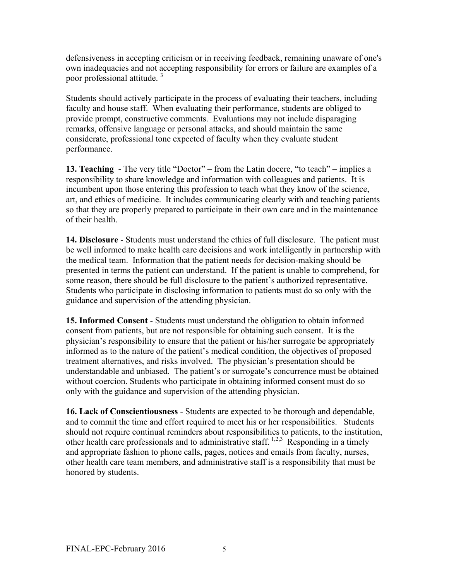defensiveness in accepting criticism or in receiving feedback, remaining unaware of one's own inadequacies and not accepting responsibility for errors or failure are examples of a poor professional attitude. <sup>3</sup>

Students should actively participate in the process of evaluating their teachers, including faculty and house staff. When evaluating their performance, students are obliged to provide prompt, constructive comments. Evaluations may not include disparaging remarks, offensive language or personal attacks, and should maintain the same considerate, professional tone expected of faculty when they evaluate student performance.

**13. Teaching** - The very title "Doctor" – from the Latin docere, "to teach" – implies a responsibility to share knowledge and information with colleagues and patients. It is incumbent upon those entering this profession to teach what they know of the science, art, and ethics of medicine. It includes communicating clearly with and teaching patients so that they are properly prepared to participate in their own care and in the maintenance of their health.

**14. Disclosure** - Students must understand the ethics of full disclosure. The patient must be well informed to make health care decisions and work intelligently in partnership with the medical team. Information that the patient needs for decision-making should be presented in terms the patient can understand. If the patient is unable to comprehend, for some reason, there should be full disclosure to the patient's authorized representative. Students who participate in disclosing information to patients must do so only with the guidance and supervision of the attending physician.

**15. Informed Consent** - Students must understand the obligation to obtain informed consent from patients, but are not responsible for obtaining such consent. It is the physician's responsibility to ensure that the patient or his/her surrogate be appropriately informed as to the nature of the patient's medical condition, the objectives of proposed treatment alternatives, and risks involved. The physician's presentation should be understandable and unbiased. The patient's or surrogate's concurrence must be obtained without coercion. Students who participate in obtaining informed consent must do so only with the guidance and supervision of the attending physician.

**16. Lack of Conscientiousness** - Students are expected to be thorough and dependable, and to commit the time and effort required to meet his or her responsibilities. Students should not require continual reminders about responsibilities to patients, to the institution, other health care professionals and to administrative staff.  $1,2,3$  Responding in a timely and appropriate fashion to phone calls, pages, notices and emails from faculty, nurses, other health care team members, and administrative staff is a responsibility that must be honored by students.